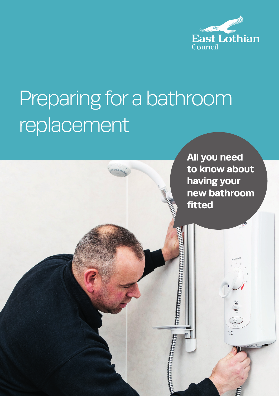

# Preparing for a bathroom replacement

**All you need to know about having your new bathroom fitted**

**BE AN ANTIBERTATION CONTINUES**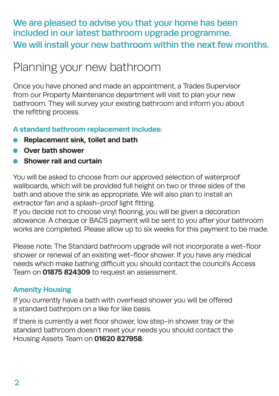### We are pleased to advise you that your home has been included in our latest bathroom upgrade programme. We will install your new bathroom within the next few months.

## Planning your new bathroom

Once you have phoned and made an appointment, a Trades Supervisor from our Property Maintenance department will visit to plan your new bathroom. They will survey your existing bathroom and inform you about the refitting process.

#### **A standard bathroom replacement includes:**

- **Replacement sink, toilet and bath**
- **Over bath shower**
- **Shower rail and curtain**

You will be asked to choose from our approved selection of waterproof wallboards, which will be provided full height on two or three sides of the bath and above the sink as appropriate. We will also plan to install an extractor fan and a splash-proof light fitting.

If you decide not to choose vinyl flooring, you will be given a decoration allowance. A cheque or BACS payment will be sent to you after your bathroom works are completed. Please allow up to six weeks for this payment to be made.

Please note: The Standard bathroom upgrade will not incorporate a wet-floor shower or renewal of an existing wet-floor shower. If you have any medical needs which make bathing difficult you should contact the council's Access Team on **01875 824309** to request an assessment.

#### **Amenity Housing**

If you currently have a bath with overhead shower you will be offered a standard bathroom on a like for like basis.

If there is currently a wet floor shower, low step-in shower tray or the standard bathroom doesn't meet your needs you should contact the Housing Assets Team on **01620 827958**.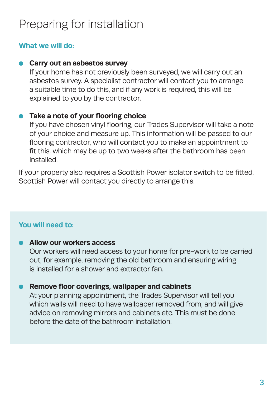## Preparing for installation

#### **What we will do:**

#### **Carry out an asbestos survey**

If your home has not previously been surveyed, we will carry out an asbestos survey. A specialist contractor will contact you to arrange a suitable time to do this, and if any work is required, this will be explained to you by the contractor.

#### **Take a note of your flooring choice**

If you have chosen vinyl flooring, our Trades Supervisor will take a note of your choice and measure up. This information will be passed to our flooring contractor, who will contact you to make an appointment to fit this, which may be up to two weeks after the bathroom has been installed.

If your property also requires a Scottish Power isolator switch to be fitted, Scottish Power will contact you directly to arrange this.

#### **You will need to:**

#### **Allow our workers access**

Our workers will need access to your home for pre-work to be carried out, for example, removing the old bathroom and ensuring wiring is installed for a shower and extractor fan.

#### **Remove floor coverings, wallpaper and cabinets**

At your planning appointment, the Trades Supervisor will tell you which walls will need to have wallpaper removed from, and will give advice on removing mirrors and cabinets etc. This must be done before the date of the bathroom installation.